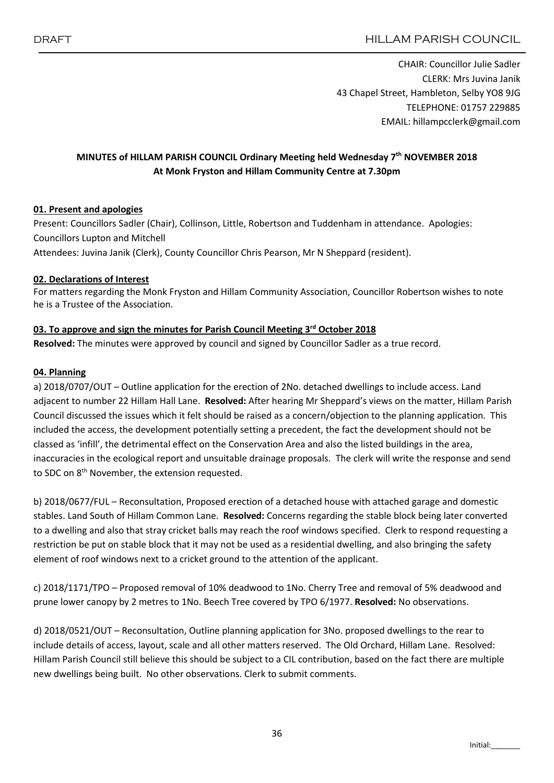CHAIR: Councillor Julie Sadler CLERK: Mrs Juvina Janik 43 Chapel Street, Hambleton, Selby YO8 9JG TELEPHONE: 01757 229885 EMAIL: hillampcclerk@gmail.com

# MINUTES of HILLAM PARISH COUNCIL Ordinary Meeting held Wednesday 7<sup>th</sup> NOVEMBER 2018 At Monk Fryston and Hillam Community Centre at 7.30pm

## 01. Present and apologies

Present: Councillors Sadler (Chair), Collinson, Little, Robertson and Tuddenham in attendance. Apologies: Councillors Lupton and Mitchell Attendees: Juvina Janik (Clerk), County Councillor Chris Pearson, Mr N Sheppard (resident).

#### 02. Declarations of Interest

For matters regarding the Monk Fryston and Hillam Community Association, Councillor Robertson wishes to note he is a Trustee of the Association.

#### 03. To approve and sign the minutes for Parish Council Meeting  $3<sup>rd</sup>$  October 2018

Resolved: The minutes were approved by council and signed by Councillor Sadler as a true record.

#### 04. Planning

a) 2018/0707/OUT – Outline application for the erection of 2No. detached dwellings to include access. Land adjacent to number 22 Hillam Hall Lane. Resolved: After hearing Mr Sheppard's views on the matter, Hillam Parish Council discussed the issues which it felt should be raised as a concern/objection to the planning application. This included the access, the development potentially setting a precedent, the fact the development should not be classed as 'infill', the detrimental effect on the Conservation Area and also the listed buildings in the area, inaccuracies in the ecological report and unsuitable drainage proposals. The clerk will write the response and send to SDC on 8<sup>th</sup> November, the extension requested.

b) 2018/0677/FUL – Reconsultation, Proposed erection of a detached house with attached garage and domestic stables. Land South of Hillam Common Lane. Resolved: Concerns regarding the stable block being later converted to a dwelling and also that stray cricket balls may reach the roof windows specified. Clerk to respond requesting a restriction be put on stable block that it may not be used as a residential dwelling, and also bringing the safety element of roof windows next to a cricket ground to the attention of the applicant.

c) 2018/1171/TPO – Proposed removal of 10% deadwood to 1No. Cherry Tree and removal of 5% deadwood and prune lower canopy by 2 metres to 1No. Beech Tree covered by TPO 6/1977. Resolved: No observations.

d) 2018/0521/OUT – Reconsultation, Outline planning application for 3No. proposed dwellings to the rear to include details of access, layout, scale and all other matters reserved. The Old Orchard, Hillam Lane. Resolved: Hillam Parish Council still believe this should be subject to a CIL contribution, based on the fact there are multiple new dwellings being built. No other observations. Clerk to submit comments.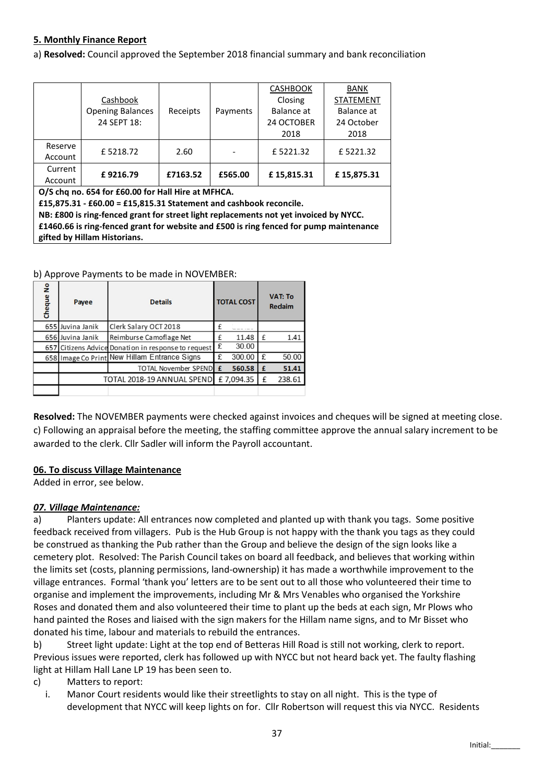## 5. Monthly Finance Report

a) Resolved: Council approved the September 2018 financial summary and bank reconciliation

|         |                                                    | Receipts |          | <b>CASHBOOK</b> | BANK             |  |
|---------|----------------------------------------------------|----------|----------|-----------------|------------------|--|
|         | Cashbook<br><b>Opening Balances</b><br>24 SEPT 18: |          |          | Closing         | <b>STATEMENT</b> |  |
|         |                                                    |          | Payments | Balance at      | Balance at       |  |
|         |                                                    |          |          | 24 OCTOBER      | 24 October       |  |
|         |                                                    |          |          | 2018            | 2018             |  |
| Reserve | £5218.72                                           | 2.60     |          | £5221.32        | £5221.32         |  |
| Account |                                                    |          |          |                 |                  |  |
| Current |                                                    | £7163.52 |          |                 |                  |  |
| Account | £9216.79                                           |          | £565.00  | £15,815.31      | £15,875.31       |  |

O/S chq no. 654 for £60.00 for Hall Hire at MFHCA.

£15,875.31 - £60.00 = £15,815.31 Statement and cashbook reconcile.

NB: £800 is ring-fenced grant for street light replacements not yet invoiced by NYCC. £1460.66 is ring-fenced grant for website and £500 is ring fenced for pump maintenance gifted by Hillam Historians.

b) Approve Payments to be made in NOVEMBER:

| Cheque No | <b>Details</b><br>Payee    |                                                     | <b>TOTAL COST</b> |           | <b>VAT: To</b><br><b>Redaim</b> |        |
|-----------|----------------------------|-----------------------------------------------------|-------------------|-----------|---------------------------------|--------|
|           | 655 Juvina Janik           | Clerk Salary OCT 2018                               |                   |           |                                 |        |
|           | 656 Juvina Janik           | Reimburse Camoflage Net                             |                   | 11.48     | £                               | 1.41   |
|           |                            | 657 Citizens Advice Donation in response to request | £                 | 30.00     |                                 |        |
|           |                            | 658 Image Co Print New Hillam Entrance Signs        | £                 | 300.00    | £                               | 50.00  |
|           |                            | TOTAL November SPEND £                              |                   | 560.58    | £                               | 51.41  |
|           | TOTAL 2018-19 ANNUAL SPEND |                                                     |                   | £7,094.35 |                                 | 238.61 |
|           |                            |                                                     |                   |           |                                 |        |

Resolved: The NOVEMBER payments were checked against invoices and cheques will be signed at meeting close. c) Following an appraisal before the meeting, the staffing committee approve the annual salary increment to be awarded to the clerk. Cllr Sadler will inform the Payroll accountant.

## 06. To discuss Village Maintenance

Added in error, see below.

## *07. Village Maintenance:*

a) Planters update: All entrances now completed and planted up with thank you tags. Some positive feedback received from villagers. Pub is the Hub Group is not happy with the thank you tags as they could be construed as thanking the Pub rather than the Group and believe the design of the sign looks like a cemetery plot. Resolved: The Parish Council takes on board all feedback, and believes that working within the limits set (costs, planning permissions, land-ownership) it has made a worthwhile improvement to the village entrances. Formal 'thank you' letters are to be sent out to all those who volunteered their time to organise and implement the improvements, including Mr & Mrs Venables who organised the Yorkshire Roses and donated them and also volunteered their time to plant up the beds at each sign, Mr Plows who hand painted the Roses and liaised with the sign makers for the Hillam name signs, and to Mr Bisset who donated his time, labour and materials to rebuild the entrances.

b) Street light update: Light at the top end of Betteras Hill Road is still not working, clerk to report. Previous issues were reported, clerk has followed up with NYCC but not heard back yet. The faulty flashing light at Hillam Hall Lane LP 19 has been seen to.

- c) Matters to report:
- i. Manor Court residents would like their streetlights to stay on all night. This is the type of development that NYCC will keep lights on for. Cllr Robertson will request this via NYCC. Residents